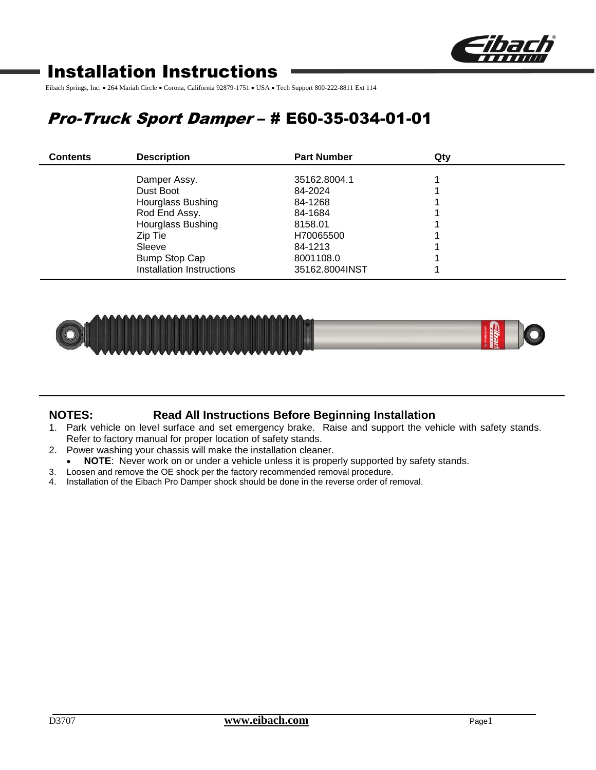

# Installation Instructions

Eibach Springs, Inc. • 264 Mariah Circle • Corona, California 92879-1751 • USA • Tech Support 800-222-8811 Ext 114

# Pro-Truck Sport Damper – # E60-35-034-01-01

| <b>Contents</b> | <b>Description</b>        | <b>Part Number</b> | Qty |  |
|-----------------|---------------------------|--------------------|-----|--|
|                 | Damper Assy.              | 35162.8004.1       |     |  |
|                 | Dust Boot                 | 84-2024            |     |  |
|                 | <b>Hourglass Bushing</b>  | 84-1268            |     |  |
|                 | Rod End Assy.             | 84-1684            |     |  |
|                 | <b>Hourglass Bushing</b>  | 8158.01            |     |  |
|                 | Zip Tie                   | H70065500          |     |  |
|                 | Sleeve                    | 84-1213            |     |  |
|                 | Bump Stop Cap             | 8001108.0          |     |  |
|                 | Installation Instructions | 35162.8004INST     |     |  |



## **NOTES: Read All Instructions Before Beginning Installation**

- 1. Park vehicle on level surface and set emergency brake. Raise and support the vehicle with safety stands. Refer to factory manual for proper location of safety stands.
- 2. Power washing your chassis will make the installation cleaner.
- **NOTE**: Never work on or under a vehicle unless it is properly supported by safety stands.
- 3. Loosen and remove the OE shock per the factory recommended removal procedure.
- 4. Installation of the Eibach Pro Damper shock should be done in the reverse order of removal.